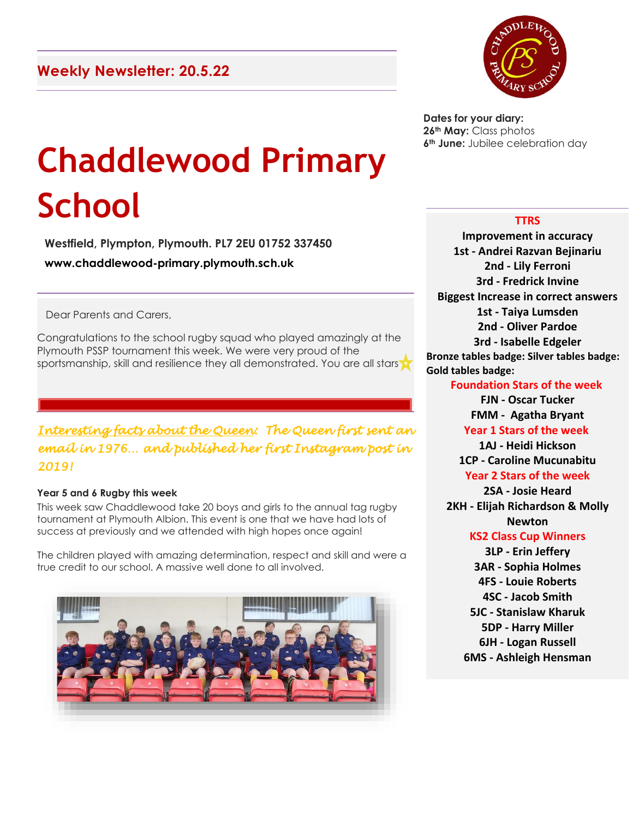

**Dates for your diary: 26th May:** Class photos **6th June:** Jubilee celebration day

# **Chaddlewood Primary School**

**Westfield, Plympton, Plymouth. PL7 2EU 01752 337450 www.chaddlewood-primary.plymouth.sch.uk**

Dear Parents and Carers,

Congratulations to the school rugby squad who played amazingly at the Plymouth PSSP tournament this week. We were very proud of the sportsmanship, skill and resilience they all demonstrated. You are all stars

## *Interesting facts about the Queen: The Queen first sent an email in 1976… and published her first Instagram post in 2019!*

## **Year 5 and 6 Rugby this week**

This week saw Chaddlewood take 20 boys and girls to the annual tag rugby tournament at Plymouth Albion. This event is one that we have had lots of success at previously and we attended with high hopes once again!

The children played with amazing determination, respect and skill and were a true credit to our school. A massive well done to all involved.



## **TTRS**

**Improvement in accuracy 1st - Andrei Razvan Bejinariu 2nd - Lily Ferroni 3rd - Fredrick Invine Biggest Increase in correct answers 1st - Taiya Lumsden 2nd - Oliver Pardoe 3rd - Isabelle Edgeler Bronze tables badge: Silver tables badge: Gold tables badge:**

## **Foundation Stars of the week**

**FJN - Oscar Tucker FMM - Agatha Bryant Year 1 Stars of the week 1AJ - Heidi Hickson 1CP - Caroline Mucunabitu**

#### **Year 2 Stars of the week 2SA - Josie Heard**

**2KH - Elijah Richardson & Molly Newton**

## **KS2 Class Cup Winners**

**3LP - Erin Jeffery 3AR - Sophia Holmes 4FS - Louie Roberts 4SC - Jacob Smith 5JC - Stanislaw Kharuk 5DP - Harry Miller 6JH - Logan Russell 6MS - Ashleigh Hensman**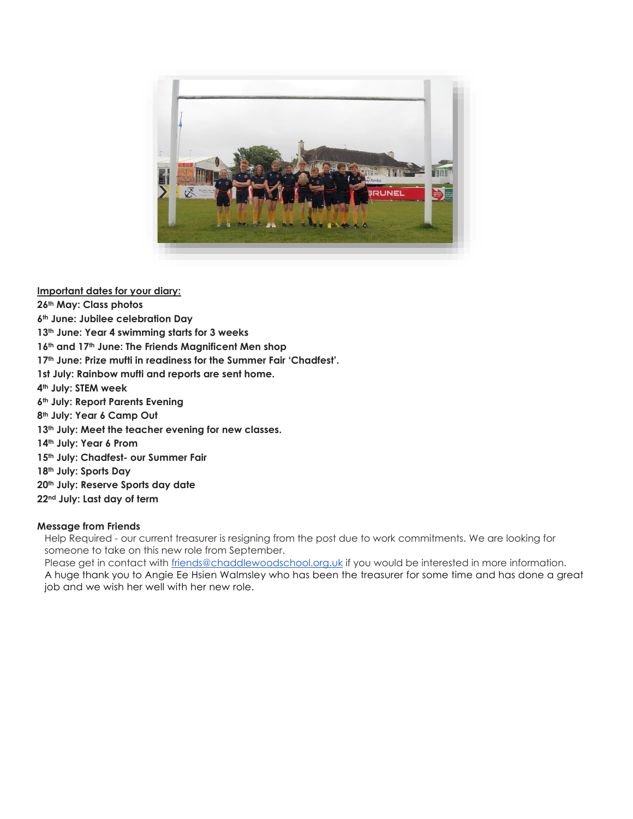

**Important dates for your diary:**

**th May: Class photos th June: Jubilee celebration Day th June: Year 4 swimming starts for 3 weeks th and 17th June: The Friends Magnificent Men shop th June: Prize mufti in readiness for the Summer Fair 'Chadfest'. 1st July: Rainbow mufti and reports are sent home. th July: STEM week th July: Report Parents Evening th July: Year 6 Camp Out th July: Meet the teacher evening for new classes. th July: Year 6 Prom th July: Chadfest- our Summer Fair th July: Sports Day th July: Reserve Sports day date nd July: Last day of term**

## **Message from Friends**

Help Required - our current treasurer is resigning from the post due to work commitments. We are looking for someone to take on this new role from September.

Please get in contact with [friends@chaddlewoodschool.org.uk](mailto:friends@chaddlewoodschool.org.uk) if you would be interested in more information. A huge thank you to Angie Ee Hsien Walmsley who has been the treasurer for some time and has done a great job and we wish her well with her new role.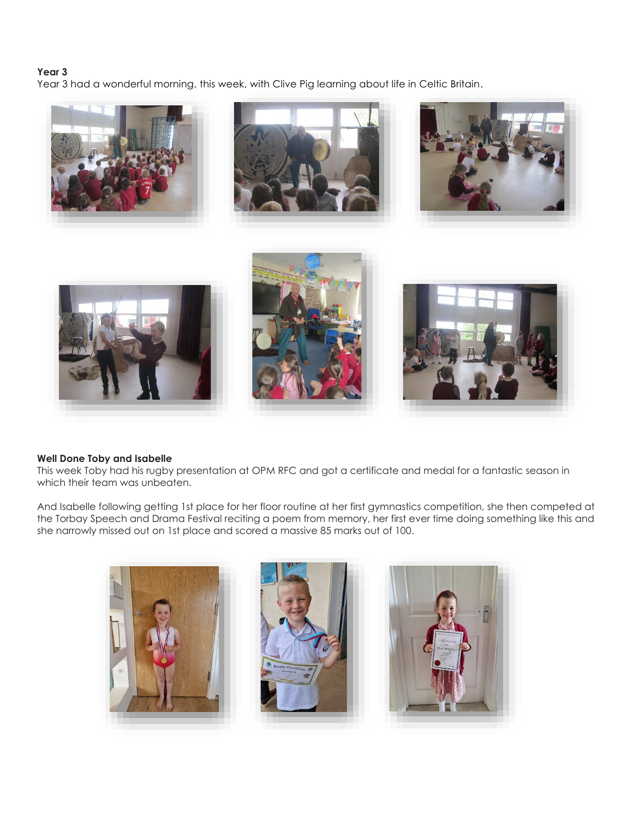## **Year 3**

Year 3 had a wonderful morning, this week, with Clive Pig learning about life in Celtic Britain.



#### **Well Done Toby and Isabelle**

This week Toby had his rugby presentation at OPM RFC and got a certificate and medal for a fantastic season in which their team was unbeaten.

And Isabelle following getting 1st place for her floor routine at her first gymnastics competition, she then competed at the Torbay Speech and Drama Festival reciting a poem from memory, her first ever time doing something like this and she narrowly missed out on 1st place and scored a massive 85 marks out of 100.

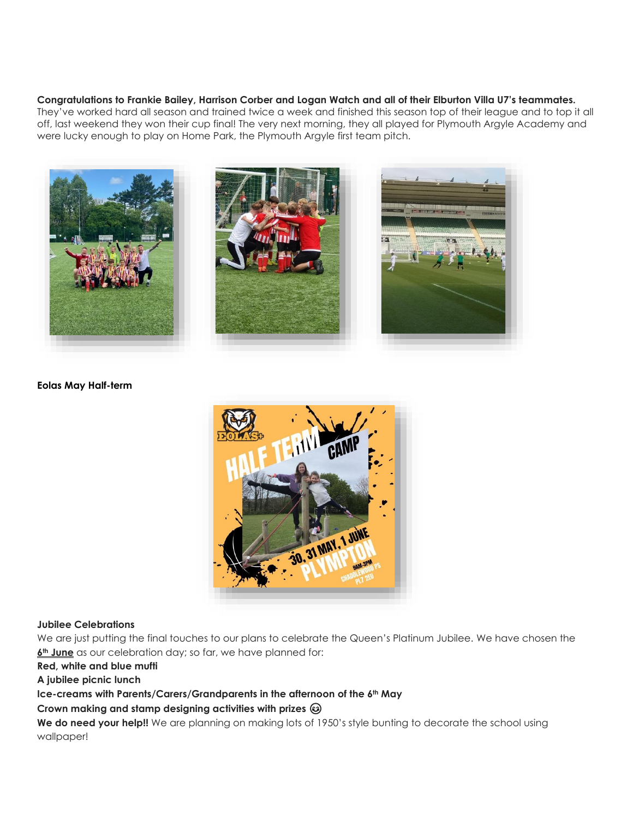#### **Congratulations to Frankie Bailey, Harrison Corber and Logan Watch and all of their Elburton Villa U7's teammates.**

They've worked hard all season and trained twice a week and finished this season top of their league and to top it all off, last weekend they won their cup final! The very next morning, they all played for Plymouth Argyle Academy and were lucky enough to play on Home Park, the Plymouth Argyle first team pitch.



#### **Eolas May Half-term**



#### **Jubilee Celebrations**

We are just putting the final touches to our plans to celebrate the Queen's Platinum Jubilee. We have chosen the **6th June** as our celebration day; so far, we have planned for:

**Red, white and blue mufti**

**A jubilee picnic lunch**

#### **Ice-creams with Parents/Carers/Grandparents in the afternoon of the 6th May**

**Crown making and stamp designing activities with prizes** 

We do need your help!! We are planning on making lots of 1950's style bunting to decorate the school using wallpaper!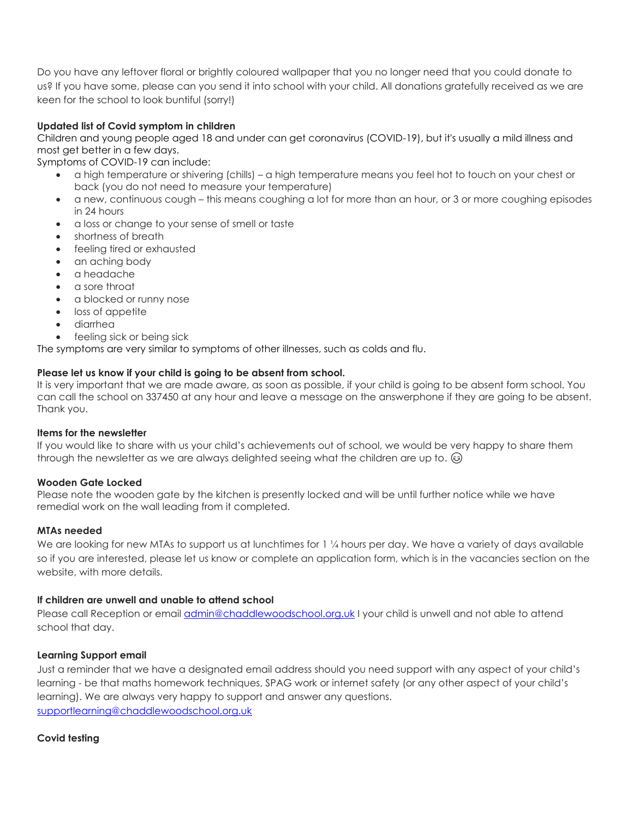Do you have any leftover floral or brightly coloured wallpaper that you no longer need that you could donate to us? If you have some, please can you send it into school with your child. All donations gratefully received as we are keen for the school to look buntiful (sorry!)

## **Updated list of Covid symptom in children**

Children and young people aged 18 and under can get coronavirus (COVID-19), but it's usually a mild illness and most get better in a few days.

Symptoms of COVID-19 can include:

- a high temperature or shivering (chills) a high temperature means you feel hot to touch on your chest or back (you do not need to measure your temperature)
- a new, continuous cough this means coughing a lot for more than an hour, or 3 or more coughing episodes in 24 hours
- a loss or change to your sense of smell or taste
- shortness of breath
- feeling tired or exhausted
- an aching body
- a headache
- a sore throat
- a blocked or runny nose
- loss of appetite
- diarrhea
- feeling sick or being sick

The symptoms are very similar to symptoms of other illnesses, such as colds and flu.

#### **Please let us know if your child is going to be absent from school.**

It is very important that we are made aware, as soon as possible, if your child is going to be absent form school. You can call the school on 337450 at any hour and leave a message on the answerphone if they are going to be absent. Thank you.

#### **Items for the newsletter**

If you would like to share with us your child's achievements out of school, we would be very happy to share them through the newsletter as we are always delighted seeing what the children are up to.  $\circledast$ 

#### **Wooden Gate Locked**

Please note the wooden gate by the kitchen is presently locked and will be until further notice while we have remedial work on the wall leading from it completed.

#### **MTAs needed**

We are looking for new MTAs to support us at lunchtimes for 1 1/4 hours per day. We have a variety of days available so if you are interested, please let us know or complete an application form, which is in the vacancies section on the website, with more details.

#### **If children are unwell and unable to attend school**

Please call Reception or email [admin@chaddlewoodschool.org.uk](mailto:admin@chaddlewoodschool.org.uk) I your child is unwell and not able to attend school that day.

#### **Learning Support email**

Just a reminder that we have a designated email address should you need support with any aspect of your child's learning - be that maths homework techniques, SPAG work or internet safety (or any other aspect of your child's learning). We are always very happy to support and answer any questions. [supportlearning@chaddlewoodschool.org.uk](mailto:supportlearning@chaddlewoodschool.org.uk)

#### **Covid testing**